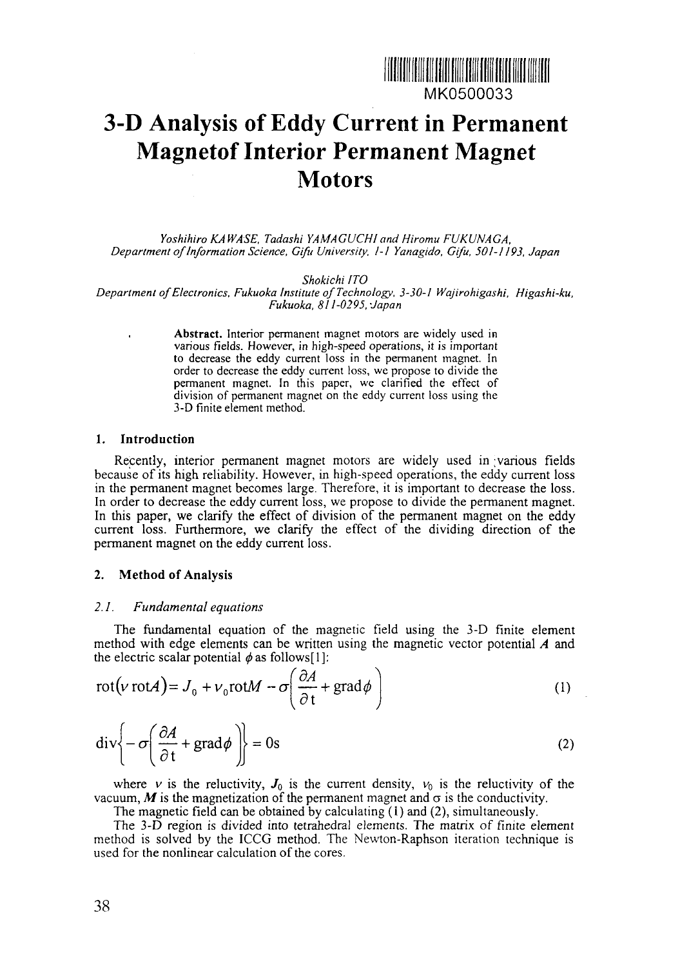

# **3-D Analysis of Eddy Current in Permanent Magnetof Interior Permanent Magnet Motors**

*Yoshihiro KA WASE, Tadashi YAMAGUCHI and Hiromu FUKUNAGA, Department of Information Science, Gift/ University, 1-1 Yanagido, Gifu, 501-1193, Japan*

*Shokichi ITO*

*Department of Electronics, Fukuoka Institute of Technology, 3-30-1 Wajirohigashi, Higashi-ku, Fukuoka, 811-0295,-Japan*

> **Abstract.** Interior permanent magnet motors are widely used in various fields. However, in high-speed operations, it is important to decrease the eddy current loss in the permanent magnet. In order to decrease the eddy current loss, we propose to divide the permanent magnet. In this paper, we clarified the effect of division of permanent magnet on the eddy current loss using the 3-D finite element method.

#### **1. Introduction**

Recently, interior permanent magnet motors are widely used in various fields because of its high reliability. However, in high-speed operations, the eddy current loss in the permanent magnet becomes large. Therefore, it is important to decrease the loss. In order to decrease the eddy current loss, we propose to divide the permanent magnet. In this paper, we clarify the effect of division of the permanent magnet on the eddy current loss. Furthermore, we clarify the effect of the dividing direction of the permanent magnet on the eddy current loss.

## **2. Method of Analysis**

## *2.1. Fundamental equations*

The fundamental equation of the magnetic field using the 3-D finite element method with edge elements can be written using the magnetic vector potential *A* and the electric scalar potential  $\phi$  as follows[1]:

$$
rot(v \text{ rot}A) = J_0 + v_0 \text{rot}M - \sigma \left(\frac{\partial A}{\partial t} + \text{grad}\phi\right)
$$
 (1)

$$
\operatorname{div}\left\{-\sigma\left(\frac{\partial A}{\partial t} + \operatorname{grad}\phi\right)\right\} = 0\text{s}
$$
 (2)

where *v* is the reluctivity,  $J_0$  is the current density,  $v_0$  is the reluctivity of the vacuum,  $M$  is the magnetization of the permanent magnet and  $\sigma$  is the conductivity.

The magnetic field can be obtained by calculating (1) and (2), simultaneously.

The 3-D region is divided into tetrahedral elements. The matrix of finite element method is solved by the ICCG method. The Newton-Raphson iteration technique is used for the nonlinear calculation of the cores.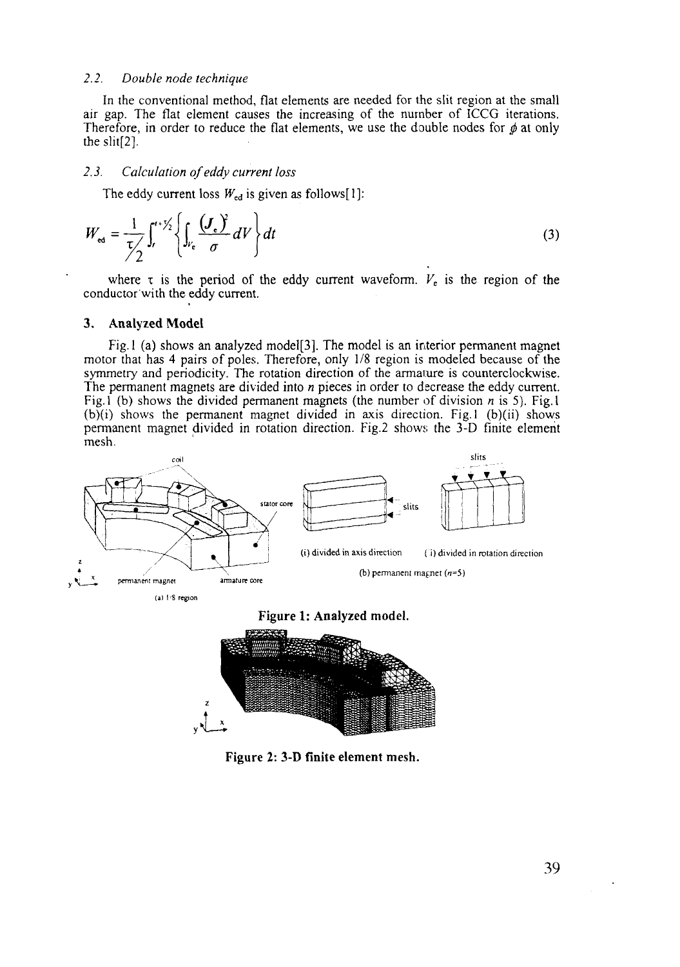# *2.2. Double node technique*

In the conventional method, flat elements are needed for the slit region at the small air gap. The flat element causes the increasing of the number of ICCG iterations. Therefore, in order to reduce the flat elements, we use the double nodes for  $\phi$  at only the slit[2].

#### *2.3. Calculation of eddy current loss*

The eddy current loss  $W_{\text{ed}}$  is given as follows[1]:

$$
W_{\rm ed} = \frac{1}{\tau/2} \int_{t}^{t+\frac{\tau}{2}} \left\{ \int_{V_{\rm e}} \frac{(\boldsymbol{J}_{\rm e})^2}{\sigma} dV \right\} dt \tag{3}
$$

where *x* is the period of the eddy current waveform. *V<sup>t</sup>* is the region of the conductor with the eddy current.

# **3. Analyzed Model**

Fig. 1 (a) shows an analyzed model<sup>[3]</sup>. The model is an interior permanent magnet motor that has 4 pairs of poles. Therefore, only 1/8 region is modeled because of the symmetry and periodicity. The rotation direction of the armature is counterclockwise. The permanent magnets are divided into *n* pieces in order to decrease the eddy current. Fig. 1 (b) shows the divided permanent magnets (the number of division *n* is 5). Fig. 1  $(b)(i)$  shows the permanent magnet divided in axis direction. Fig. 1 (b)(ii) shows permanent magnet divided in rotation direction. Fig.2 shows; the 3-D finite element mesh.





**Figure 2: 3-D finite element mesh.**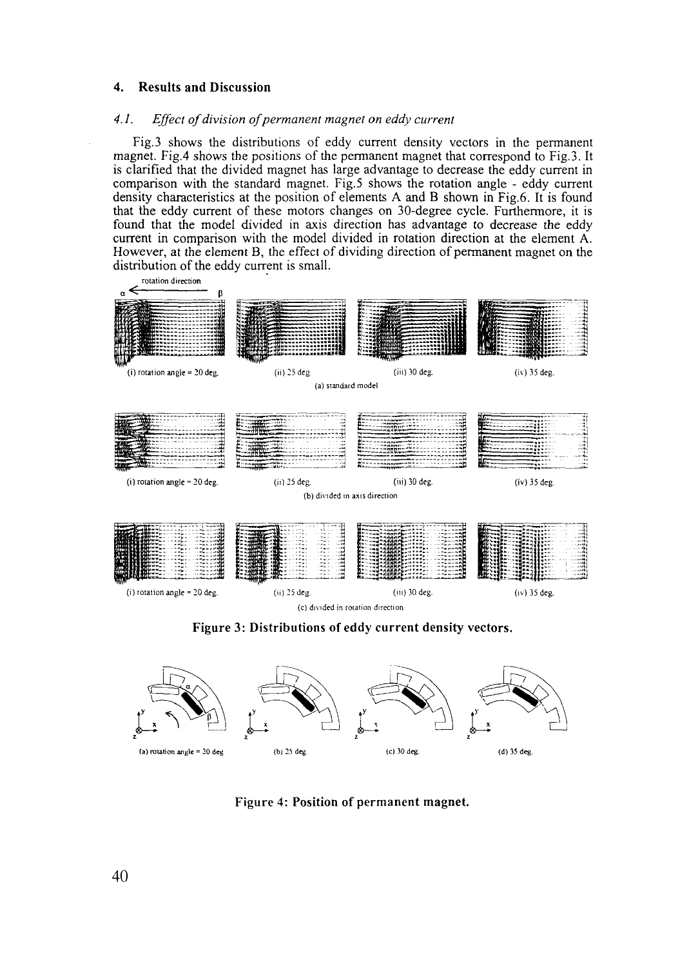# **4. Results and Discussion**

# *4.1. Effect of division of permanent magnet on eddy current*

Fig.3 shows the distributions of eddy current density vectors in the permanent magnet. Fig.4 shows the positions of the permanent magnet that correspond to Fig.3. It is clarified that the divided magnet has large advantage to decrease the eddy current in comparison with the standard magnet. Fig.5 shows the rotation angle - eddy current density characteristics at the position of elements A and B shown in Fig.6. It is found that the eddy current of these motors changes on 30-degree cycle. Furthermore, it is found that the model divided in axis direction has advantage to decrease the eddy current in comparison with the model divided in rotation direction at the element A. However, at the element B, the effect of dividing direction of permanent magnet on the distribution of the eddy current is small.



**Figure 3: Distributions of eddy current density vectors.**



Figure 4: **Position of** permanent **magnet.**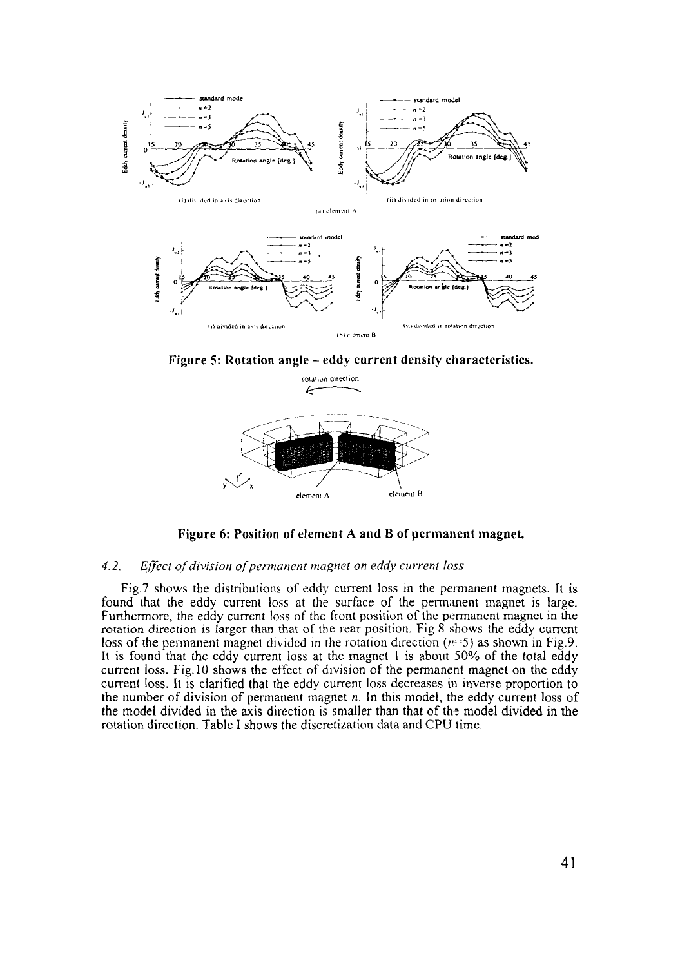

**Figure 5: Rotation angle - eddy current density characteristics.**



**Figure 6: Position of element A and B of permanent magnet.**

# *4.2. Effect of division of permanent magnet on eddy current loss*

Fig.7 shows the distributions of eddy current loss in the permanent magnets. It is found that the eddy current loss at the surface of the permanent magnet is large. Furthermore, the eddy current loss of the front position of the permanent magnet in the rotation direction is larger than that of the rear position. Fig.8 shows the eddy current loss of the permanent magnet divided in the rotation direction  $(n=5)$  as shown in Fig.9. It is found that the eddy current loss at the magnet 1 is about 50% of the total eddy current loss. Fig. 10 shows the effect of division of the permanent magnet on the eddy current loss. It is clarified that the eddy current loss decreases in inverse proportion to the number of division of permanent magnet n. In this model, the eddy current loss of the model divided in the axis direction is smaller than that of the model divided in the rotation direction. Table I shows the discretization data and CPU time.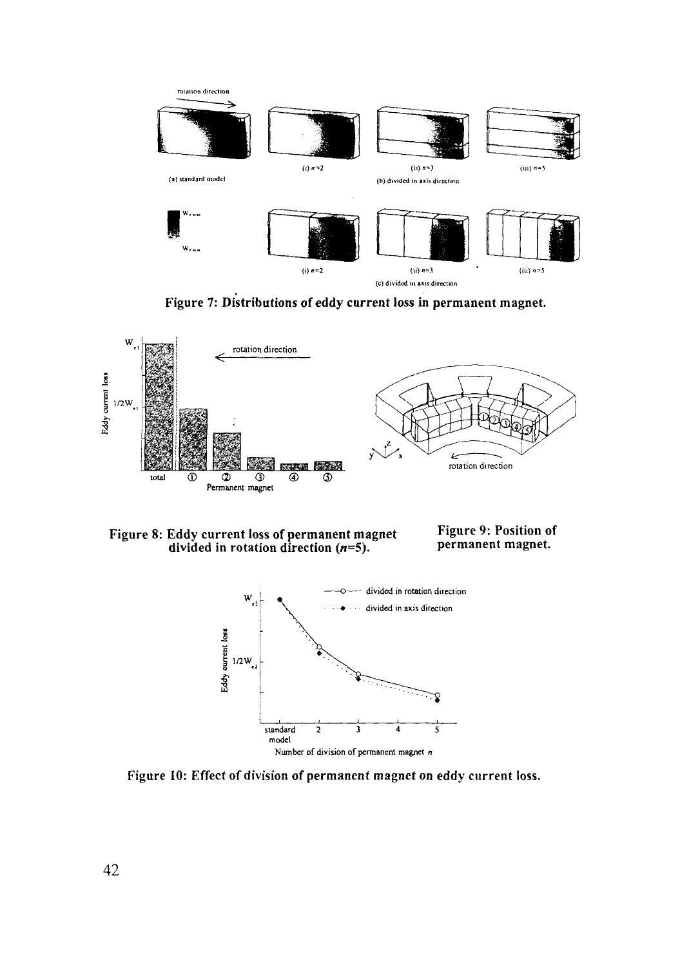

Figure 7: Distributions of eddy current loss in permanent magnet.



Figure 8: Eddy current loss of permanent magnet Figure 9: Position of divided in rotation direction  $(n=5)$ . divided in rotation direction  $(n=5)$ .



Figure 10: Effect of division of permanent magnet on eddy current loss.